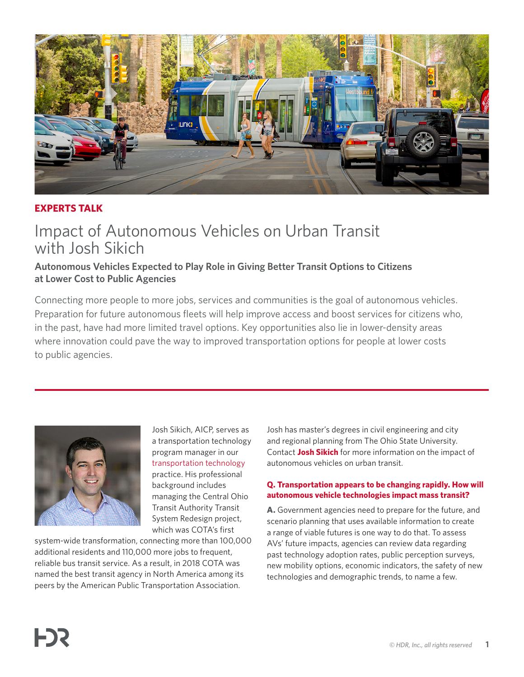

# **EXPERTS TALK**

# Impact of Autonomous Vehicles on Urban Transit with Josh Sikich

# **Autonomous Vehicles Expected to Play Role in Giving Better Transit Options to Citizens at Lower Cost to Public Agencies**

Connecting more people to more jobs, services and communities is the goal of autonomous vehicles. Preparation for future autonomous fleets will help improve access and boost services for citizens who, in the past, have had more limited travel options. Key opportunities also lie in lower-density areas where innovation could pave the way to improved transportation options for people at lower costs to public agencies.



Josh Sikich, AICP, serves as a transportation technology program manager in our [transportation technology](https://www.hdrinc.com/markets/transportation/its-avcv-and-emerging-technologies-future-proof-transportation-systems)  practice. His professional background includes managing the Central Ohio Transit Authority Transit System Redesign project, which was COTA's first

system-wide transformation, connecting more than 100,000 additional residents and 110,000 more jobs to frequent, reliable bus transit service. As a result, in 2018 COTA was named the best transit agency in North America among its peers by the American Public Transportation Association.

Josh has master's degrees in civil engineering and city and regional planning from The Ohio State University. Contact **[Josh Sikich](mailto:joshua.sikich%40hdrinc.com?subject=)** for more information on the impact of autonomous vehicles on urban transit.

# **Q. Transportation appears to be changing rapidly. How will autonomous vehicle technologies impact mass transit?**

**A.** Government agencies need to prepare for the future, and scenario planning that uses available information to create a range of viable futures is one way to do that. To assess AVs' future impacts, agencies can review data regarding past technology adoption rates, public perception surveys, new mobility options, economic indicators, the safety of new technologies and demographic trends, to name a few.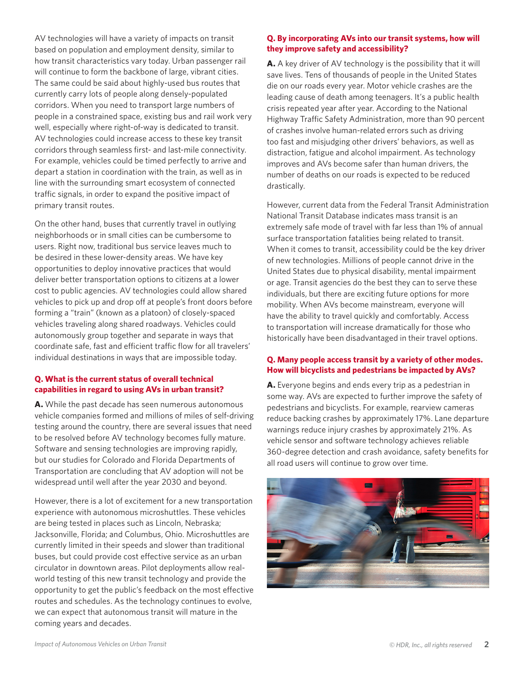AV technologies will have a variety of impacts on transit based on population and employment density, similar to how transit characteristics vary today. Urban passenger rail will continue to form the backbone of large, vibrant cities. The same could be said about highly-used bus routes that currently carry lots of people along densely-populated corridors. When you need to transport large numbers of people in a constrained space, existing bus and rail work very well, especially where right-of-way is dedicated to transit. AV technologies could increase access to these key transit corridors through seamless first- and last-mile connectivity. For example, vehicles could be timed perfectly to arrive and depart a station in coordination with the train, as well as in line with the surrounding smart ecosystem of connected traffic signals, in order to expand the positive impact of primary transit routes.

On the other hand, buses that currently travel in outlying neighborhoods or in small cities can be cumbersome to users. Right now, traditional bus service leaves much to be desired in these lower-density areas. We have key opportunities to deploy innovative practices that would deliver better transportation options to citizens at a lower cost to public agencies. AV technologies could allow shared vehicles to pick up and drop off at people's front doors before forming a "train" (known as a platoon) of closely-spaced vehicles traveling along shared roadways. Vehicles could autonomously group together and separate in ways that coordinate safe, fast and efficient traffic flow for all travelers' individual destinations in ways that are impossible today.

# **Q. What is the current status of overall technical capabilities in regard to using AVs in urban transit?**

**A.** While the past decade has seen numerous autonomous vehicle companies formed and millions of miles of self-driving testing around the country, there are several issues that need to be resolved before AV technology becomes fully mature. Software and sensing technologies are improving rapidly, but our studies for Colorado and Florida Departments of Transportation are concluding that AV adoption will not be widespread until well after the year 2030 and beyond.

However, there is a lot of excitement for a new transportation experience with autonomous microshuttles. These vehicles are being tested in places such as Lincoln, Nebraska; Jacksonville, Florida; and Columbus, Ohio. Microshuttles are currently limited in their speeds and slower than traditional buses, but could provide cost effective service as an urban circulator in downtown areas. Pilot deployments allow realworld testing of this new transit technology and provide the opportunity to get the public's feedback on the most effective routes and schedules. As the technology continues to evolve, we can expect that autonomous transit will mature in the coming years and decades.

## **Q. By incorporating AVs into our transit systems, how will they improve safety and accessibility?**

**A.** A key driver of AV technology is the possibility that it will save lives. Tens of thousands of people in the United States die on our roads every year. Motor vehicle crashes are the leading cause of death among teenagers. It's a public health crisis repeated year after year. According to the National Highway Traffic Safety Administration, more than 90 percent of crashes involve human-related errors such as driving too fast and misjudging other drivers' behaviors, as well as distraction, fatigue and alcohol impairment. As technology improves and AVs become safer than human drivers, the number of deaths on our roads is expected to be reduced drastically.

However, current data from the Federal Transit Administration National Transit Database indicates mass transit is an extremely safe mode of travel with far less than 1% of annual surface transportation fatalities being related to transit. When it comes to transit, accessibility could be the key driver of new technologies. Millions of people cannot drive in the United States due to physical disability, mental impairment or age. Transit agencies do the best they can to serve these individuals, but there are exciting future options for more mobility. When AVs become mainstream, everyone will have the ability to travel quickly and comfortably. Access to transportation will increase dramatically for those who historically have been disadvantaged in their travel options.

#### **Q. Many people access transit by a variety of other modes. How will bicyclists and pedestrians be impacted by AVs?**

**A.** Everyone begins and ends every trip as a pedestrian in some way. AVs are expected to further improve the safety of pedestrians and bicyclists. For example, rearview cameras reduce backing crashes by approximately 17%. Lane departure warnings reduce injury crashes by approximately 21%. As vehicle sensor and software technology achieves reliable 360-degree detection and crash avoidance, safety benefits for all road users will continue to grow over time.